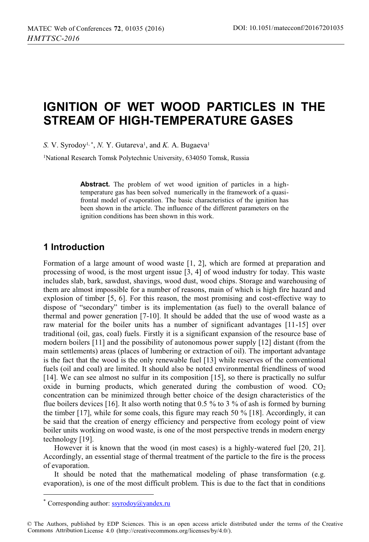# **IGNITION OF WET WOOD PARTICLES IN THE STREAM OF HIGH-TEMPERATURE GASES**

*S.* V. Syrodoy<sup>1, \*</sup>, *N.* Y. Gutareva<sup>1</sup>, and *K.* A. Bugaeva<sup>1</sup>

1 National Research Tomsk Polytechnic University, 634050 Tomsk, Russia

**Abstract.** The problem of wet wood ignition of particles in a hightemperature gas has been solved numerically in the framework of a quasifrontal model of evaporation. The basic characteristics of the ignition has been shown in the article. The influence of the different parameters on the ignition conditions has been shown in this work.

# **1 Introduction**

Formation of a large amount of wood waste [1, 2], which are formed at preparation and processing of wood, is the most urgent issue [3, 4] of wood industry for today. This waste includes slab, bark, sawdust, shavings, wood dust, wood chips. Storage and warehousing of them are almost impossible for a number of reasons, main of which is high fire hazard and explosion of timber [5, 6]. For this reason, the most promising and cost-effective way to dispose of "secondary" timber is its implementation (as fuel) to the overall balance of thermal and power generation [7-10]. It should be added that the use of wood waste as a raw material for the boiler units has a number of significant advantages [11-15] over traditional (oil, gas, coal) fuels. Firstly it is a significant expansion of the resource base of modern boilers [11] and the possibility of autonomous power supply [12] distant (from the main settlements) areas (places of lumbering or extraction of oil). The important advantage is the fact that the wood is the only renewable fuel [13] while reserves of the conventional fuels (oil and coal) are limited. It should also be noted environmental friendliness of wood [14]. We can see almost no sulfur in its composition [15], so there is practically no sulfur oxide in burning products, which generated during the combustion of wood.  $CO<sub>2</sub>$ concentration can be minimized through better choice of the design characteristics of the flue boilers devices [16]. It also worth noting that 0.5 % to 3 % of ash is formed by burning the timber  $[17]$ , while for some coals, this figure may reach 50 %  $[18]$ . Accordingly, it can be said that the creation of energy efficiency and perspective from ecology point of view boiler units working on wood waste, is one of the most perspective trends in modern energy technology [19].

However it is known that the wood (in most cases) is a highly-watered fuel [20, 21]. Accordingly, an essential stage of thermal treatment of the particle to the fire is the process of evaporation.

It should be noted that the mathematical modeling of phase transformation (e.g. evaporation), is one of the most difficult problem. This is due to the fact that in conditions

l

<sup>\*</sup> Corresponding author: ssyrodoy@yandex.ru

<sup>©</sup> The Authors, published by EDP Sciences. This is an open access article distributed under the terms of the Creative Commons Attribution License 4.0 (http://creativecommons.org/licenses/by/4.0/).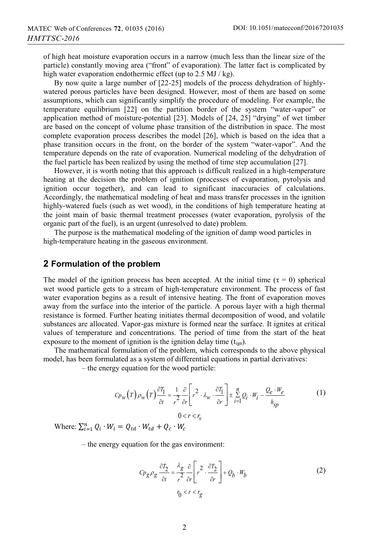of high heat moisture evaporation occurs in a narrow (much less than the linear size of the particle) constantly moving area ("front" of evaporation). The latter fact is complicated by high water evaporation endothermic effect (up to 2.5 MJ/kg).

By now quite a large number of  $[22-25]$  models of the process dehydration of highlywatered porous particles have been designed. However, most of them are based on some assumptions, which can significantly simplify the procedure of modeling. For example, the temperature equilibrium [22] on the partition border of the system "water-vapor" or application method of moisture-potential [23]. Models of [24, 25] "drying" of wet timber are based on the concept of volume phase transition of the distribution in space. The most complete evaporation process describes the model [26], which is based on the idea that a phase transition occurs in the front, on the border of the system "water-vapor". And the temperature depends on the rate of evaporation. Numerical modeling of the dehydration of the fuel particle has been realized by using the method of time step accumulation [27].

However, it is worth noting that this approach is difficult realized in a high-temperature heating at the decision the problem of ignition (processes of evaporation, pyrolysis and ignition occur together), and can lead to significant inaccuracies of calculations. Accordingly, the mathematical modeling of heat and mass transfer processes in the ignition highly-watered fuels (such as wet wood), in the conditions of high temperature heating at the joint main of basic thermal treatment processes (water evaporation, pyrolysis of the organic part of the fuel), is an urgent (unresolved to date) problem. The purpose is the mathematical modeling of the ignition of damp wood particles in

high-temperature heating in the gaseous environment.

#### **2 Formulation of the problem**

The model of the ignition process has been accepted. At the initial time ( $\tau = 0$ ) spherical wet wood particle gets to a stream of high-temperature environment. The process of fast water evaporation begins as a result of intensive heating. The front of evaporation moves away from the surface into the interior of the particle. A porous layer with a high thermal resistance is formed. Further heating initiates thermal decomposition of wood, and volatile substances are allocated. Vapor-gas mixture is formed near the surface. It ignites at critical values of temperature and concentrations. The period of time from the start of the heat exposure to the moment of ignition is the ignition delay time  $(t_{\text{ign}})$ .

The mathematical formulation of the problem, which corresponds to the above physical model, has been formulated as a system of differential equations in partial derivatives:

– the energy equation for the wood particle:

$$
C p_w(T) \rho_w(T) \frac{\partial T_1}{\partial t} = \frac{1}{r^2} \frac{\partial}{\partial r} \left[ r^2 \cdot \lambda_w \cdot \frac{\partial T_1}{\partial r} \right] \pm \sum_{i=1}^n Q_i \cdot W_i - \frac{Q_e \cdot W_e}{h_{sp}}
$$
(1)  
0 < r < r\_0

Where:  $\sum_{i=1}^{n} Q_i \cdot W_i = Q_{td} \cdot W_{td} + Q_c \cdot W_c$ 

– the energy equation for the gas environment:

$$
C_{Pg} \rho_g \frac{\partial T_2}{\partial t} = \frac{\lambda_g}{r^2} \frac{\partial}{\partial r} \left[ r^2 \cdot \frac{\partial T_2}{\partial r} \right] + Q_b \cdot W_b
$$
\n
$$
r_0 < r < r_g
$$
\n
$$
(2)
$$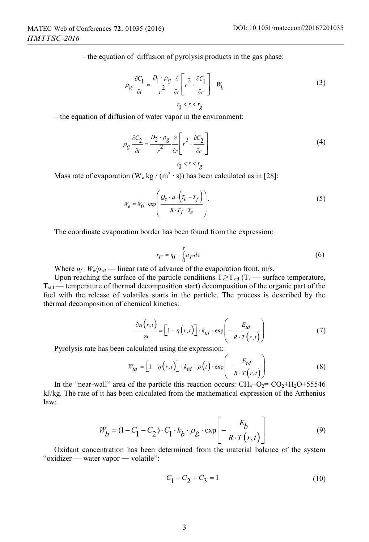– the equation of diffusion of pyrolysis products in the gas phase:

$$
\rho_g \frac{\partial C_1}{\partial t} = \frac{D_1 \cdot \rho_g}{r^2} \frac{\partial}{\partial r} \left[ r^2 \cdot \frac{\partial C_1}{\partial r} \right] - W_b
$$
\n
$$
r_0 < r < r_g
$$
\n(3)

– the equation of diffusion of water vapor in the environment:

$$
\rho_g \frac{\partial C_2}{\partial t} = \frac{D_2 \cdot \rho_g}{r^2} \frac{\partial}{\partial r} \left[ r^2 \cdot \frac{\partial C_2}{\partial r} \right]
$$
\n
$$
r_0 < r < r_g
$$
\n(4)

Mass rate of evaporation (W<sub>e</sub> kg / (m<sup>2</sup> ⋅ s)) has been calculated as in [28]:

$$
W_e = W_0 \cdot \exp\left(\frac{Q_e \cdot \mu \cdot (T_e - T_f)}{R \cdot T_f \cdot T_e}\right).
$$
 (5)

The coordinate evaporation border has been found from the expression:

$$
r_F = r_0 - \int_0^{\tau} u_F d\tau \tag{6}
$$

Where  $u_f = W_e / \rho_{wt}$  — linear rate of advance of the evaporation front, m/s.

Upon reaching the surface of the particle conditions  $T_s \geq T_{std}$  ( $T_s$  — surface temperature,  $T_{std}$  — temperature of thermal decomposition start) decomposition of the organic part of the fuel with the release of volatiles starts in the particle. The process is described by the thermal decomposition of chemical kinetics:

$$
\frac{\partial \eta(r,t)}{\partial t} = \left[1 - \eta(r,t)\right] \cdot k_{td} \cdot \exp\left(-\frac{E_{td}}{R \cdot T(r,t)}\right) \tag{7}
$$

Pyrolysis rate has been calculated using the expression:

$$
W_{td} = \left[1 - \eta(r, t)\right] \cdot k_{td} \cdot \rho(t) \cdot \exp\left(-\frac{E_{td}}{R \cdot T(r, t)}\right) \tag{8}
$$

In the "near-wall" area of the particle this reaction occurs:  $CH_4+O_2=CO_2+H_2O+55546$ kJ/kg. The rate of it has been calculated from the mathematical expression of the Arrhenius law:

$$
W_b = (1 - C_1 - C_2) \cdot C_1 \cdot k_b \cdot \rho_g \cdot \exp\left[-\frac{E_b}{R \cdot T(r,t)}\right]
$$
(9)

Oxidant concentration has been determined from the material balance of the system "oxidizer — water vapor ― volatile":

$$
C_1 + C_2 + C_3 = 1 \tag{10}
$$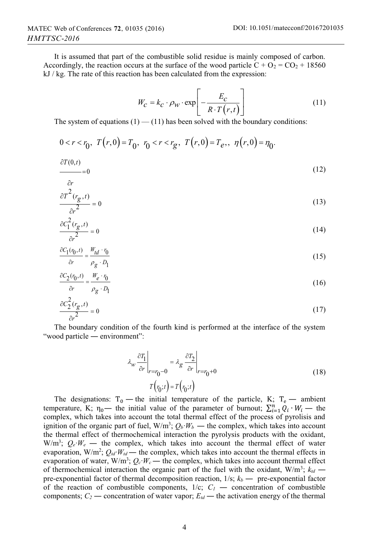It is assumed that part of the combustible solid residue is mainly composed of carbon. Accordingly, the reaction occurs at the surface of the wood particle  $C + O_2 = CO_2 + 18560$ kJ / kg. The rate of this reaction has been calculated from the expression:

$$
W_C = k_C \cdot \rho_W \cdot \exp\left[-\frac{E_C}{R \cdot T(r,t)}\right]
$$
 (11)

The system of equations  $(1)$  —  $(11)$  has been solved with the boundary conditions:

$$
0 < r < r_0, \ T(r,0) = T_0, \ r_0 < r < r_g, \ T(r,0) = T_e, \ \eta(r,0) = \eta_0.
$$

$$
\frac{\partial T(0,t)}{\partial t} = 0 \tag{12}
$$

$$
\frac{\partial r}{\partial T^2(r_g, t)}\tag{13}
$$

$$
\frac{g}{\partial r^2} = 0\tag{13}
$$

$$
\frac{\partial c_1^2(r_g, t)}{\partial r^2} = 0\tag{14}
$$

$$
\frac{\partial C_1(r_0, t)}{\partial r} = \frac{W_{td} \cdot r_0}{\rho_g \cdot D_1} \tag{15}
$$

$$
\frac{\partial C_2(r_0, t)}{\partial r} = \frac{W_e \cdot r_0}{\rho_o \cdot p_t} \tag{16}
$$

$$
\frac{\partial c_2^2(r_g, t)}{\partial r^2} = 0
$$
\n(17)

The boundary condition of the fourth kind is performed at the interface of the system "wood particle — environment":

$$
\lambda_{w} \frac{\partial T_{1}}{\partial r}\Big|_{r=r_{0}-0} = \lambda_{g} \frac{\partial T_{2}}{\partial r}\Big|_{r=r_{0}+0}
$$
\n
$$
T(r_{0};t) = T(r_{0};t)
$$
\n(18)

The designations:  $T_0$  — the initial temperature of the particle, K;  $T_e$  — ambient temperature, K;  $\eta_0$ — the initial value of the parameter of burnout;  $\sum_{i=1}^n Q_i \cdot W_i$  — the complex which takes into account the total thermal effect of the process of pyrolisis and complex, which takes into account the total thermal effect of the process of pyrolisis and ignition of the organic part of fuel,  $W/m^3$ ;  $Q_b$ *·* $W_b$  — the complex, which takes into account the thermal effect of thermochemical interaction the pyrolysis products with the oxidant,  $W/m^3$ ;  $Q_e$   $W_e$  — the complex, which takes into account the thermal effect of water evaporation,  $W/m^2$ ;  $Q_{td}$ *·* $W_{td}$  — the complex, which takes into account the thermal effects in evaporation of water,  $W/m^3$ ;  $Q_c$ · $W_c$  — the complex, which takes into account thermal effect of thermochemical interaction the organic part of the fuel with the oxidant,  $W/m^3$ ;  $k_{td}$  pre-exponential factor of thermal decomposition reaction,  $1/s$ ;  $k_b$  — pre-exponential factor of the reaction of combustible components,  $1/c$ ;  $C_I$  — concentration of combustible components;  $C_2$  — concentration of water vapor;  $E_{td}$  — the activation energy of the thermal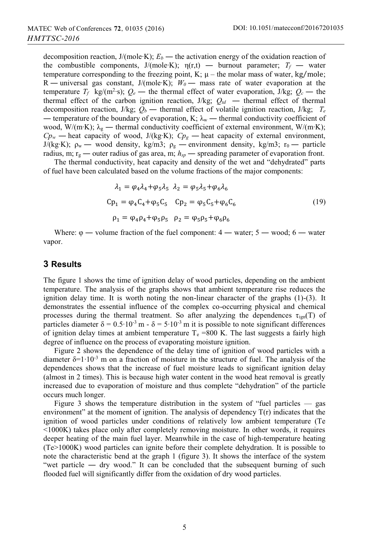decomposition reaction, J/(mole∙K); *Е<sup>b</sup>* ― the activation energy of the oxidation reaction of the combustible components, J/(mole∙K);  $\eta(r,t)$  — burnout parameter;  $T_f$  — water temperature corresponding to the freezing point, K;  $\mu$  – the molar mass of water, kg/mole; R ― universal gas constant, J/(mole∙K); *W0* ― mass rate of water evaporation at the temperature  $T_f$  kg/(m<sup>2</sup>·s);  $Q_e$  — the thermal effect of water evaporation, J/kg;  $Q_c$  — the thermal effect of the carbon ignition reaction,  $J/kg$ ;  $Q_{td}$  — thermal effect of thermal decomposition reaction, J/kg;  $Q_b$  — thermal effect of volatile ignition reaction, J/kg;  $T_e$ — temperature of the boundary of evaporation, K;  $\lambda_w$  — thermal conductivity coefficient of wood, W/(m⋅K); λ<sub>g</sub> — thermal conductivity coefficient of external environment, W/(m⋅K);  $Cp_w$  — heat capacity of wood, J/(kg⋅K);  $Cp_g$  — heat capacity of external environment, J/(kg⋅K);  $ρ_w$  — wood density, kg/m3;  $ρ_g$  — environment density, kg/m3; r<sub>0</sub> — particle radius, m;  $r_g$  — outer radius of gas area, m;  $h_{gp}$  — spreading parameter of evaporation front.

The thermal conductivity, heat capacity and density of the wet and "dehydrated" parts of fuel have been calculated based on the volume fractions of the major components:

$$
\lambda_1 = \varphi_4 \lambda_4 + \varphi_5 \lambda_5 \quad \lambda_2 = \varphi_5 \lambda_5 + \varphi_6 \lambda_6
$$
  
\n
$$
Cp_1 = \varphi_4 C_4 + \varphi_5 C_5 \quad Cp_2 = \varphi_5 C_5 + \varphi_6 C_6
$$
  
\n
$$
\rho_1 = \varphi_4 \rho_4 + \varphi_5 \rho_5 \quad \rho_2 = \varphi_5 \rho_5 + \varphi_6 \rho_6
$$
  
\n(19)

Where:  $\varphi$  — volume fraction of the fuel component:  $4$  — water;  $5$  — wood;  $6$  — water vapor.

#### **3 Results**

The figure 1 shows the time of ignition delay of wood particles, depending on the ambient temperature. The analysis of the graphs shows that ambient temperature rise reduces the ignition delay time. It is worth noting the non-linear character of the graphs  $(1)$ - $(3)$ . It demonstrates the essential influence of the complex co-occurring physical and chemical processes during the thermal treatment. So after analyzing the dependences  $\tau_{ign}(T)$  of particles diameter  $\delta = 0.5 \cdot 10^{-3}$  m -  $\delta = 5 \cdot 10^{-3}$  m it is possible to note significant differences of ignition delay times at ambient temperature  $T_e$  =800 K. The last suggests a fairly high degree of influence on the process of evaporating moisture ignition.

Figure 2 shows the dependence of the delay time of ignition of wood particles with a diameter  $\delta$ =1⋅10⋅3 m on a fraction of moisture in the structure of fuel. The analysis of the dependences shows that the increase of fuel moisture leads to significant ignition delay (almost in 2 times). This is because high water content in the wood heat removal is greatly increased due to evaporation of moisture and thus complete "dehydration" of the particle occurs much longer.

Figure 3 shows the temperature distribution in the system of "fuel particles — gas environment" at the moment of ignition. The analysis of dependency  $T(r)$  indicates that the ignition of wood particles under conditions of relatively low ambient temperature (Te <1000K) takes place only after completely removing moisture. In other words, it requires deeper heating of the main fuel layer. Meanwhile in the case of high-temperature heating (Te>1000K) wood particles can ignite before their complete dehydration. It is possible to note the characteristic bend at the graph 1 (figure 3). It shows the interface of the system "wet particle ― dry wood." It can be concluded that the subsequent burning of such flooded fuel will significantly differ from the oxidation of dry wood particles.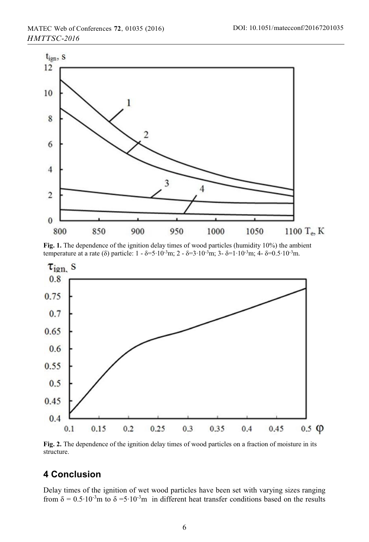

**Fig. 1.** The dependence of the ignition delay times of wood particles (humidity 10%) the ambient temperature at a rate (δ) particle:  $1 - \delta = 5 \cdot 10^{-3}$ m;  $2 - \delta = 3 \cdot 10^{-3}$ m;  $3 - \delta = 1 \cdot 10^{-3}$ m;  $4 - \delta = 0.5 \cdot 10^{-3}$ m.



**Fig. 2.** The dependence of the ignition delay times of wood particles on a fraction of moisture in its structure.

# **4 Conclusion**

Delay times of the ignition of wet wood particles have been set with varying sizes ranging from  $\delta = 0.5 \cdot 10^{-3}$ m to  $\delta = 5 \cdot 10^{-3}$ m in different heat transfer conditions based on the results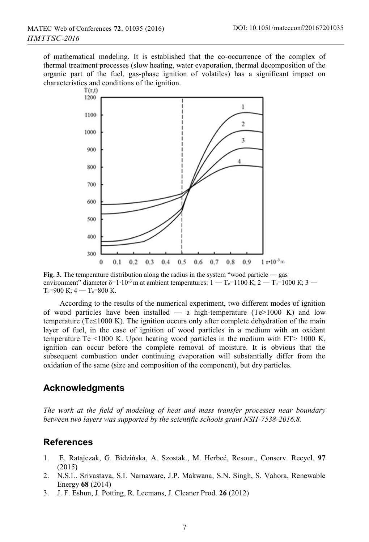of mathematical modeling. It is established that the co-occurrence of the complex of thermal treatment processes (slow heating, water evaporation, thermal decomposition of the organic part of the fuel, gas-phase ignition of volatiles) has a significant impact on characteristics and conditions of the ignition.<br> $T(r,t)$ 



**Fig. 3.** The temperature distribution along the radius in the system "wood particle — gas environment" diameter δ=1⋅10<sup>-3</sup> m at ambient temperatures:  $1 - T_c = 1100$  K;  $2 - T_c = 1000$  K;  $3 - T_c$  $T_c=900 \text{ K}$ ; 4 —  $T_c=800 \text{ K}$ .

According to the results of the numerical experiment, two different modes of ignition of wood particles have been installed — a high-temperature  $(Te>1000 K)$  and low temperature (Te≤1000 K). The ignition occurs only after complete dehydration of the main layer of fuel, in the case of ignition of wood particles in a medium with an oxidant temperature Te  $\leq 1000$  K. Upon heating wood particles in the medium with ET $> 1000$  K, ignition can occur before the complete removal of moisture. It is obvious that the subsequent combustion under continuing evaporation will substantially differ from the oxidation of the same (size and composition of the component), but dry particles.

## **Acknowledgments**

*The work at the field of modeling of heat and mass transfer processes near boundary between two layers was supported by the scientific schools grant NSH-7538-2016.8.* 

## **References**

- 1. E. Ratajczak, G. Bidzińska, A. Szostak., M. Herbeć, Resour., Conserv. Recycl. **97** (2015)
- 2. N.S.L. Srivastava, S.L Narnaware, J.P. Makwana, S.N. Singh, S. Vahora, Renewable Energy **68** (2014)
- 3. J. F. Eshun, J. Potting, R. Leemans, J. Cleaner Prod. **26** (2012)